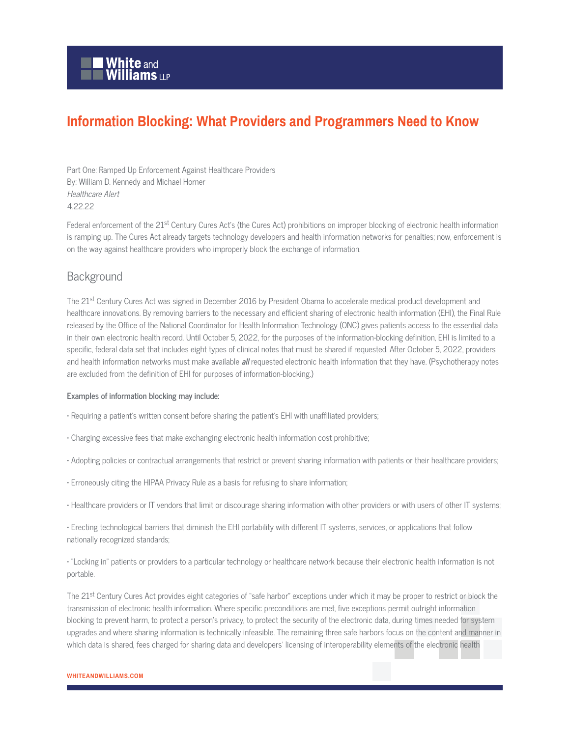# **Information Blocking: What Providers and Programmers Need to Know**

Part One: Ramped Up Enforcement Against Healthcare Providers By: William D. Kennedy and Michael Horner Healthcare Alert 4.22.22

Federal enforcement of the 21<sup>st</sup> Century Cures Act's (the Cures Act) prohibitions on improper blocking of electronic health information is ramping up. The Cures Act already targets technology developers and health information networks for penalties; now, enforcement is on the way against healthcare providers who improperly block the exchange of information.

### **Background**

The 21<sup>st</sup> Century Cures Act was signed in December 2016 by President Obama to accelerate medical product development and healthcare innovations. By removing barriers to the necessary and efficient sharing of electronic health information (EHI), the Final Rule released by the Office of the National Coordinator for Health Information Technology (ONC) gives patients access to the essential data in their own electronic health record. Until October 5, 2022, for the purposes of the information-blocking definition, EHI is limited to a specific, federal data set that includes eight types of clinical notes that must be shared if requested. After October 5, 2022, providers and health information networks must make available **all** requested electronic health information that they have. (Psychotherapy notes are excluded from the definition of EHI for purposes of information-blocking.)

#### **Examples of information blocking may include:**

- Requiring a patient's written consent before sharing the patient's EHI with unaffiliated providers;
- Charging excessive fees that make exchanging electronic health information cost prohibitive;
- Adopting policies or contractual arrangements that restrict or prevent sharing information with patients or their healthcare providers;
- Erroneously citing the HIPAA Privacy Rule as a basis for refusing to share information;
- Healthcare providers or IT vendors that limit or discourage sharing information with other providers or with users of other IT systems;

• Erecting technological barriers that diminish the EHI portability with different IT systems, services, or applications that follow nationally recognized standards;

• "Locking in" patients or providers to a particular technology or healthcare network because their electronic health information is not portable.

The 21<sup>st</sup> Century Cures Act provides eight categories of "safe harbor" exceptions under which it may be proper to restrict or block the transmission of electronic health information. Where specific preconditions are met, five exceptions permit outright information blocking to prevent harm, to protect a person's privacy, to protect the security of the electronic data, during times needed for system upgrades and where sharing information is technically infeasible. The remaining three safe harbors focus on the content and manner in which data is shared, fees charged for sharing data and developers' licensing of interoperability elements of the electronic health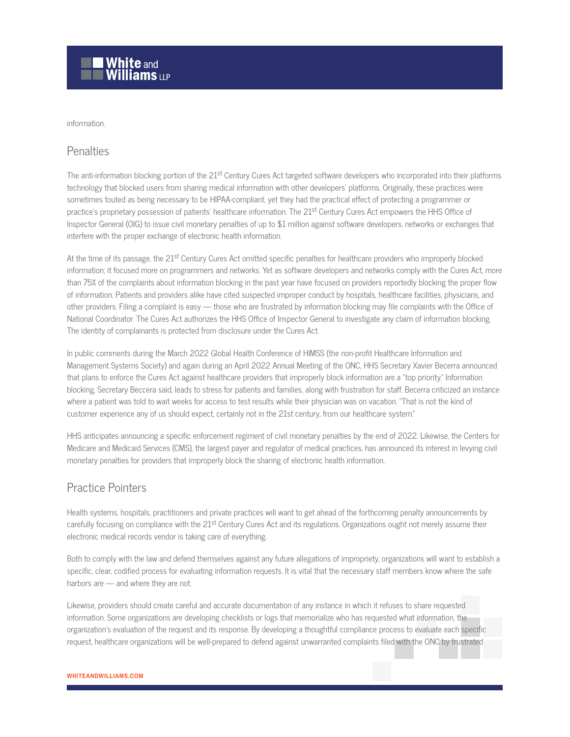

#### information.

### **Penalties**

The anti-information blocking portion of the  $21^{st}$  Century Cures Act targeted software developers who incorporated into their platforms technology that blocked users from sharing medical information with other developers' platforms. Originally, these practices were sometimes touted as being necessary to be HIPAA-compliant, yet they had the practical effect of protecting a programmer or practice's proprietary possession of patients' healthcare information. The 21<sup>st</sup> Century Cures Act empowers the HHS Office of Inspector General (OIG) to issue civil monetary penalties of up to \$1 million against software developers, networks or exchanges that interfere with the proper exchange of electronic health information.

At the time of its passage, the 21<sup>st</sup> Century Cures Act omitted specific penalties for healthcare providers who improperly blocked information; it focused more on programmers and networks. Yet as software developers and networks comply with the Cures Act, more than 75% of the complaints about information blocking in the past year have focused on providers reportedly blocking the proper flow of information. Patients and providers alike have cited suspected improper conduct by hospitals, healthcare facilities, physicians, and other providers. Filing a complaint is easy — those who are frustrated by information blocking may file complaints with the Office of National Coordinator. The Cures Act authorizes the HHS Office of Inspector General to investigate any claim of information blocking. The identity of complainants is protected from disclosure under the Cures Act.

In public comments during the March 2022 Global Health Conference of HIMSS (the non-profit Healthcare Information and Management Systems Society) and again during an April 2022 Annual Meeting of the ONC, HHS Secretary Xavier Becerra announced that plans to enforce the Cures Act against healthcare providers that improperly block information are a "top priority." Information blocking, Secretary Beccera said, leads to stress for patients and families, along with frustration for staff. Becerra criticized an instance where a patient was told to wait weeks for access to test results while their physician was on vacation. "That is not the kind of customer experience any of us should expect, certainly not in the 21st century, from our healthcare system."

HHS anticipates announcing a specific enforcement regiment of civil monetary penalties by the end of 2022. Likewise, the Centers for Medicare and Medicaid Services (CMS), the largest payer and regulator of medical practices, has announced its interest in levying civil monetary penalties for providers that improperly block the sharing of electronic health information.

## Practice Pointers

Health systems, hospitals, practitioners and private practices will want to get ahead of the forthcoming penalty announcements by carefully focusing on compliance with the 21<sup>st</sup> Century Cures Act and its regulations. Organizations ought not merely assume their electronic medical records vendor is taking care of everything.

Both to comply with the law and defend themselves against any future allegations of impropriety, organizations will want to establish a specific, clear, codified process for evaluating information requests. It is vital that the necessary staff members know where the safe harbors are — and where they are not.

Likewise, providers should create careful and accurate documentation of any instance in which it refuses to share requested information. Some organizations are developing checklists or logs that memorialize who has requested what information, the organization's evaluation of the request and its response. By developing a thoughtful compliance process to evaluate each specific request, healthcare organizations will be well-prepared to defend against unwarranted complaints filed with the ONC by frustrated